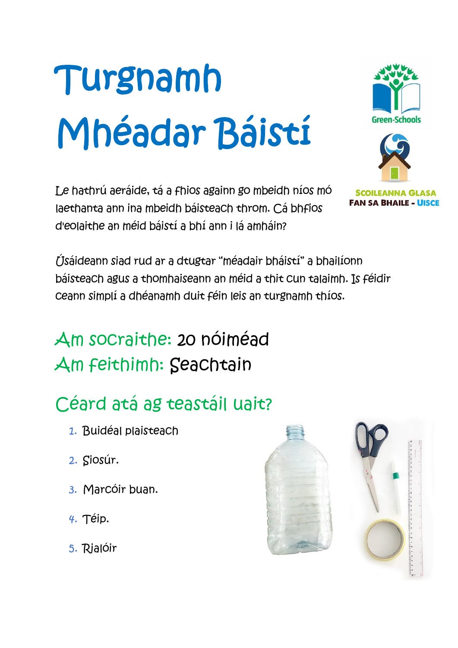# Turgnamh Mhéadar Báistí

Le hathrú aeráide, tá a fhios againn go mbeidh níos mó laethanta ann ina mbeidh báisteach throm. Cá bhfios d'eolaithe an méid báistí a bhí ann i lá amháin?

**SCOILEANNA GLASA FAN SA BHAILE - UISCE** 

Úsáideann siad rud ar a dtugtar "méadair bháistí" a bhailíonn báisteach agus a thomhaiseann an méid a thit cun talaimh. Is féidir ceann simplí a dhéanamh duit féin leis an turgnamh thíos.

### Am socraithe: 20 nóiméad Am feithimh: Seachtain

# Céard atá ag teastáil uait?

- 1. Buidéal plaisteach
- 2. Siosúr.
- 3. Marcóir buan.
- 4. Téip.
- 5. Rialóir



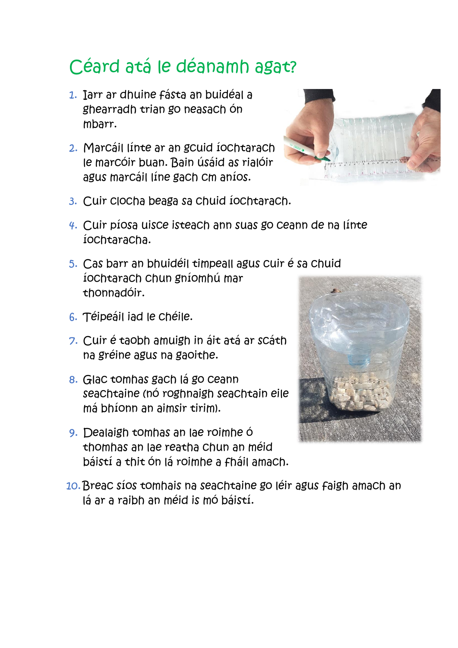## Céard atá le déanamh agat?

- 1. Iarr ar dhuine fásta an buidéal a ghearradh trian go neasach ón mbarr.
- 2. Marcáil línte ar an gcuid íochtarach le marcóir buan. Bain úsáid as rialóir agus marcáil líne gach cm aníos.



- 3. Cuir clocha beaga sa chuid íochtarach.
- 4. Cuir píosa uisce isteach ann suas go ceann de na línte íochtaracha.
- 5. Cas barr an bhuidéil timpeall agus cuir é sa chuid íochtarach chun gníomhú mar thonnadóir.
- 6. Téipeáil iad le chéile.
- 7. Cuir é taobh amuigh in áit atá ar scáth na gréine agus na gaoithe.
- 8. Glac tomhas gach lá go ceann seachtaine (nó roghnaigh seachtain eile má bhíonn an aimsir tirim).
- 9. Dealaigh tomhas an lae roimhe ó thomhas an lae reatha chun an méid báistí a thit ón lá roimhe a fháil amach.



10.Breac síos tomhais na seachtaine go léir agus faigh amach an lá ar a raibh an méid is mó báistí.